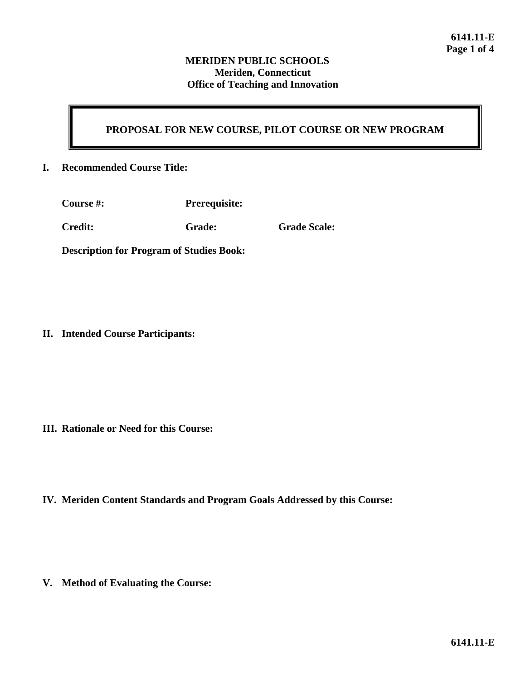# **PROPOSAL FOR NEW COURSE, PILOT COURSE OR NEW PROGRAM**

### **I. Recommended Course Title:**

| <b>Course</b> #: | <b>Prerequisite:</b> |
|------------------|----------------------|
|                  |                      |

**Credit: Grade: Grade Scale:**

**Description for Program of Studies Book:**

**II. Intended Course Participants:**

- **III. Rationale or Need for this Course:**
- **IV. Meriden Content Standards and Program Goals Addressed by this Course:**

**V. Method of Evaluating the Course:**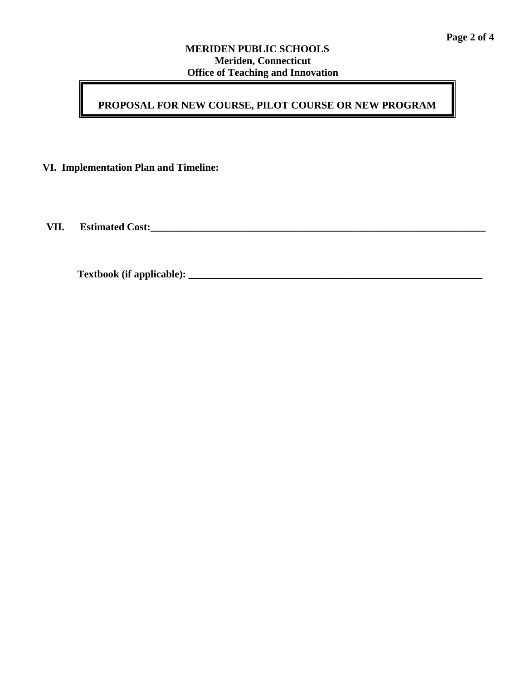## **PROPOSAL FOR NEW COURSE, PILOT COURSE OR NEW PROGRAM**

**VI. Implementation Plan and Timeline:**

**VII. Estimated Cost:\_\_\_\_\_\_\_\_\_\_\_\_\_\_\_\_\_\_\_\_\_\_\_\_\_\_\_\_\_\_\_\_\_\_\_\_\_\_\_\_\_\_\_\_\_\_\_\_\_\_\_\_\_\_\_\_\_\_\_\_\_\_\_\_\_**

**Textbook (if applicable): \_\_\_\_\_\_\_\_\_\_\_\_\_\_\_\_\_\_\_\_\_\_\_\_\_\_\_\_\_\_\_\_\_\_\_\_\_\_\_\_\_\_\_\_\_\_\_\_\_\_\_\_\_\_\_\_\_**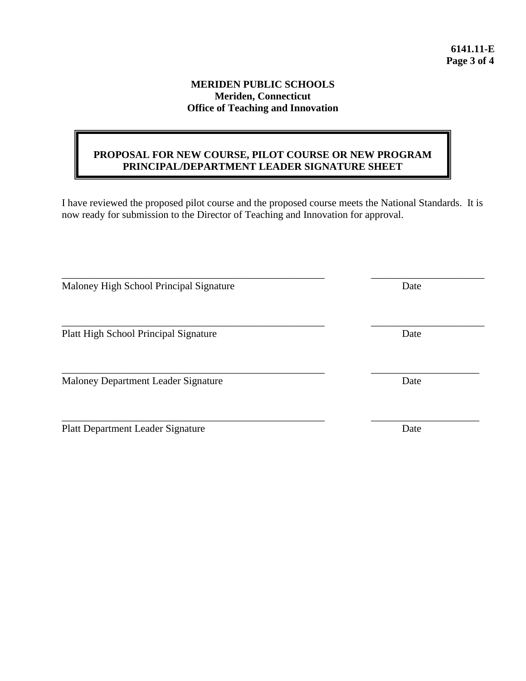### **PROPOSAL FOR NEW COURSE, PILOT COURSE OR NEW PROGRAM PRINCIPAL/DEPARTMENT LEADER SIGNATURE SHEET**

I have reviewed the proposed pilot course and the proposed course meets the National Standards. It is now ready for submission to the Director of Teaching and Innovation for approval.

| Maloney High School Principal Signature      | Date |
|----------------------------------------------|------|
|                                              |      |
| <b>Platt High School Principal Signature</b> | Date |
|                                              |      |
| Maloney Department Leader Signature          | Date |
|                                              |      |
| <b>Platt Department Leader Signature</b>     | Date |